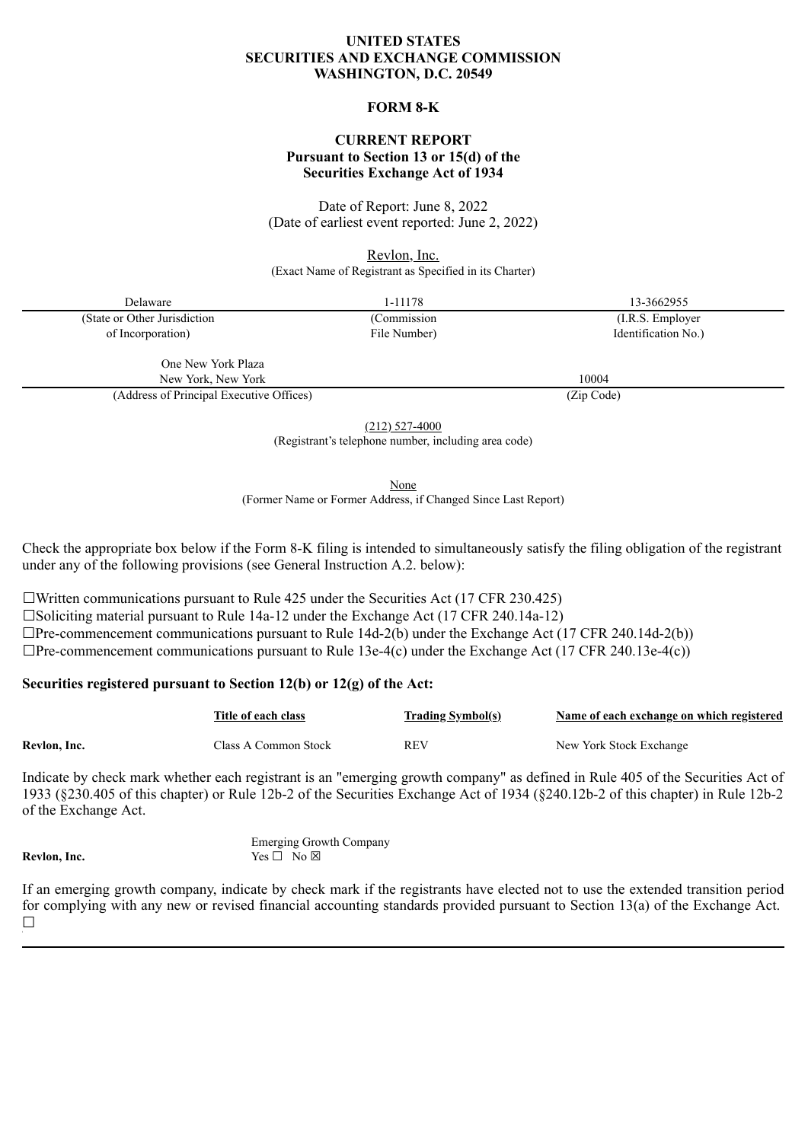# **UNITED STATES SECURITIES AND EXCHANGE COMMISSION WASHINGTON, D.C. 20549**

#### **FORM 8-K**

### **CURRENT REPORT Pursuant to Section 13 or 15(d) of the Securities Exchange Act of 1934**

Date of Report: June 8, 2022 (Date of earliest event reported: June 2, 2022)

Revlon, Inc.

(Exact Name of Registrant as Specified in its Charter)

Delaware 1-11178 13-3662955 (State or Other Jurisdiction of Incorporation)

(Commission File Number)

(I.R.S. Employer Identification No.)

One New York Plaza New York, New York 10004

(Address of Principal Executive Offices) (Zip Code)

(212) 527-4000

(Registrant's telephone number, including area code)

None

(Former Name or Former Address, if Changed Since Last Report)

Check the appropriate box below if the Form 8-K filing is intended to simultaneously satisfy the filing obligation of the registrant under any of the following provisions (see General Instruction A.2. below):

 $\Box$ Written communications pursuant to Rule 425 under the Securities Act (17 CFR 230.425)

□Soliciting material pursuant to Rule 14a-12 under the Exchange Act  $(17 \text{ CFR } 240.14a-12)$ 

 $\Box$ Pre-commencement communications pursuant to Rule 14d-2(b) under the Exchange Act (17 CFR 240.14d-2(b))

 $\Box$ Pre-commencement communications pursuant to Rule 13e-4(c) under the Exchange Act (17 CFR 240.13e-4(c))

# **Securities registered pursuant to Section 12(b) or 12(g) of the Act:**

|              | Title of each class  | <b>Trading Symbol(s)</b> | Name of each exchange on which registered |
|--------------|----------------------|--------------------------|-------------------------------------------|
| Revlon, Inc. | Class A Common Stock | REV                      | New York Stock Exchange                   |

Indicate by check mark whether each registrant is an "emerging growth company" as defined in Rule 405 of the Securities Act of 1933 (§230.405 of this chapter) or Rule 12b-2 of the Securities Exchange Act of 1934 (§240.12b-2 of this chapter) in Rule 12b-2 of the Exchange Act.

Emerging Growth Company **Revlon, Inc.** Yes □ No ⊠

If an emerging growth company, indicate by check mark if the registrants have elected not to use the extended transition period for complying with any new or revised financial accounting standards provided pursuant to Section 13(a) of the Exchange Act.  $\Box$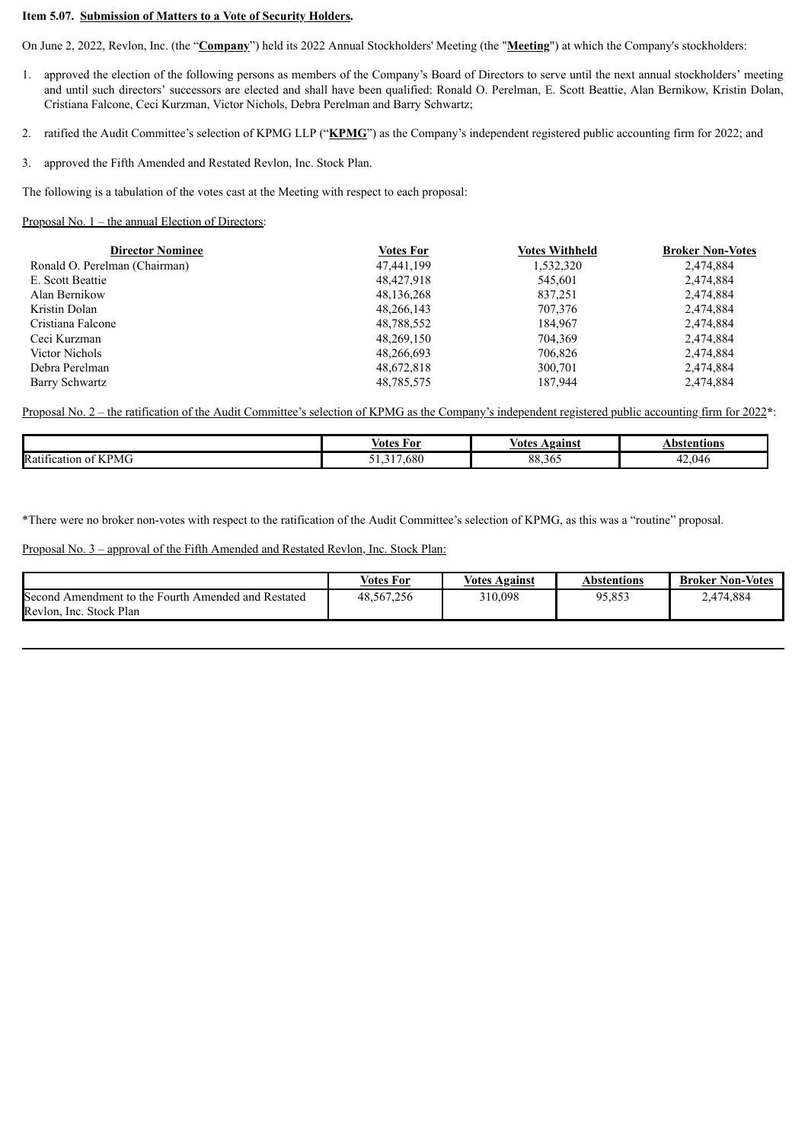#### **Item 5.07. Submission of Matters to a Vote of Security Holders.**

On June 2, 2022, Revlon, Inc. (the "**Company**") held its 2022 Annual Stockholders' Meeting (the "**Meeting**") at which the Company's stockholders:

- 1. approved the election of the following persons as members of the Company's Board of Directors to serve until the next annual stockholders' meeting and until such directors' successors are elected and shall have been qualified: Ronald O. Perelman, E. Scott Beattie, Alan Bernikow, Kristin Dolan, Cristiana Falcone, Ceci Kurzman, Victor Nichols, Debra Perelman and Barry Schwartz;
- 2. ratified the Audit Committee's selection of KPMG LLP ("**KPMG**") as the Company's independent registered public accounting firm for 2022; and
- 3. approved the Fifth Amended and Restated Revlon, Inc. Stock Plan.

The following is a tabulation of the votes cast at the Meeting with respect to each proposal:

#### Proposal No. 1 – the annual Election of Directors:

| <b>Director Nominee</b>       | <b>Votes For</b> | <b>Votes Withheld</b> | <b>Broker Non-Votes</b> |
|-------------------------------|------------------|-----------------------|-------------------------|
| Ronald O. Perelman (Chairman) | 47,441,199       | 1,532,320             | 2,474,884               |
| E. Scott Beattie              | 48,427,918       | 545,601               | 2,474,884               |
| Alan Bernikow                 | 48,136,268       | 837,251               | 2,474,884               |
| Kristin Dolan                 | 48,266,143       | 707,376               | 2,474,884               |
| Cristiana Falcone             | 48,788,552       | 184,967               | 2,474,884               |
| Ceci Kurzman                  | 48,269,150       | 704,369               | 2,474,884               |
| Victor Nichols                | 48,266,693       | 706,826               | 2,474,884               |
| Debra Perelman                | 48,672,818       | 300,701               | 2,474,884               |
| Barry Schwartz                | 48,785,575       | 187,944               | 2,474,884               |

Proposal No. 2 – the ratification of the Audit Committee's selection of KPMG as the Company's independent registered public accounting firm for 2022**\***:

|                                                   | For       | votes        | ntions:    |
|---------------------------------------------------|-----------|--------------|------------|
|                                                   | otes/     | Vgainst      | he         |
| $\sim$<br>$\epsilon$<br>Rati<br>' PMC<br>fication | .680<br>. | oο<br>88.50. | .046<br>т. |

\*There were no broker non-votes with respect to the ratification of the Audit Committee's selection of KPMG, as this was a "routine" proposal.

Proposal No. 3 – approval of the Fifth Amended and Restated Revlon, Inc. Stock Plan:

|                                                        | <b>Votes For</b> | Votes.<br>Against | Abstentions | <b>Broker Non-Votes</b> |
|--------------------------------------------------------|------------------|-------------------|-------------|-------------------------|
| Second<br>Amendment to the Fourth Amended and Restated | 48,567,256       | 310,098           | 95,853      | 2,474,884               |
| Revlon, Inc. Stock Plan                                |                  |                   |             |                         |